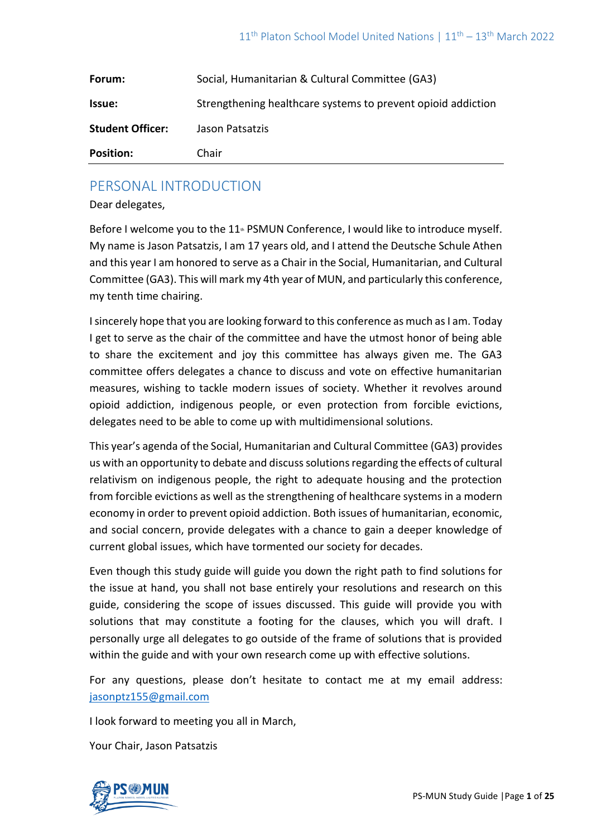| Forum:                  | Social, Humanitarian & Cultural Committee (GA3)              |
|-------------------------|--------------------------------------------------------------|
| <b>Issue:</b>           | Strengthening healthcare systems to prevent opioid addiction |
| <b>Student Officer:</b> | Jason Patsatzis                                              |
| <b>Position:</b>        | Chair                                                        |

## PERSONAL INTRODUCTION

Dear delegates,

Before I welcome you to the  $11<sup>th</sup>$  PSMUN Conference, I would like to introduce myself. My name is Jason Patsatzis, I am 17 years old, and I attend the Deutsche Schule Athen and this year I am honored to serve as a Chair in the Social, Humanitarian, and Cultural Committee (GA3). This will mark my 4th year of MUN, and particularly this conference, my tenth time chairing.

I sincerely hope that you are looking forward to this conference as much as I am. Today I get to serve as the chair of the committee and have the utmost honor of being able to share the excitement and joy this committee has always given me. The GA3 committee offers delegates a chance to discuss and vote on effective humanitarian measures, wishing to tackle modern issues of society. Whether it revolves around opioid addiction, indigenous people, or even protection from forcible evictions, delegates need to be able to come up with multidimensional solutions.

This year's agenda of the Social, Humanitarian and Cultural Committee (GA3) provides us with an opportunity to debate and discuss solutions regarding the effects of cultural relativism on indigenous people, the right to adequate housing and the protection from forcible evictions as well as the strengthening of healthcare systems in a modern economy in order to prevent opioid addiction. Both issues of humanitarian, economic, and social concern, provide delegates with a chance to gain a deeper knowledge of current global issues, which have tormented our society for decades.

Even though this study guide will guide you down the right path to find solutions for the issue at hand, you shall not base entirely your resolutions and research on this guide, considering the scope of issues discussed. This guide will provide you with solutions that may constitute a footing for the clauses, which you will draft. I personally urge all delegates to go outside of the frame of solutions that is provided within the guide and with your own research come up with effective solutions.

For any questions, please don't hesitate to contact me at my email address: [jasonptz155@gmail.com](mailto:jasonptz155@gmail.com)

I look forward to meeting you all in March,

Your Chair, Jason Patsatzis

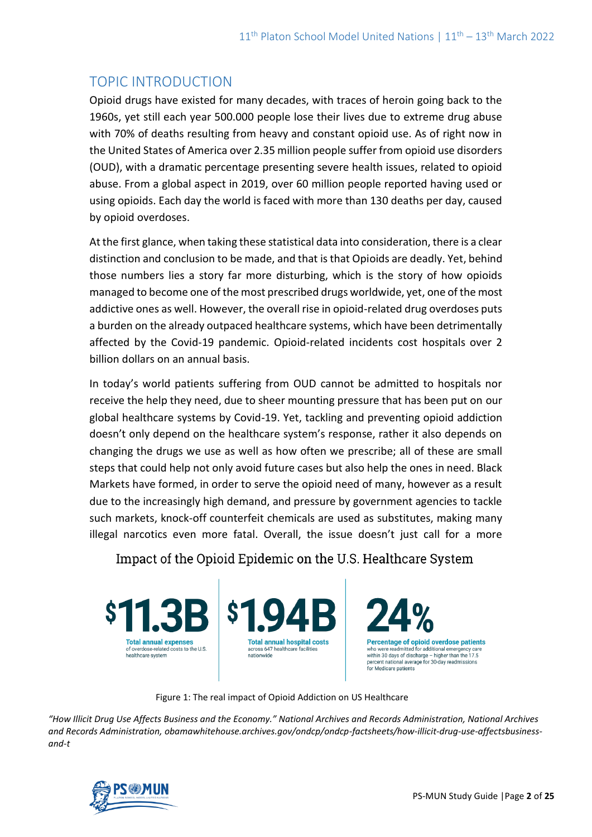# TOPIC INTRODUCTION

Opioid drugs have existed for many decades, with traces of heroin going back to the 1960s, yet still each year 500.000 people lose their lives due to extreme drug abuse with 70% of deaths resulting from heavy and constant opioid use. As of right now in the United States of America over 2.35 million people suffer from opioid use disorders (OUD), with a dramatic percentage presenting severe health issues, related to opioid abuse. From a global aspect in 2019, over 60 million people reported having used or using opioids. Each day the world is faced with more than 130 deaths per day, caused by opioid overdoses.

At the first glance, when taking these statistical data into consideration, there is a clear distinction and conclusion to be made, and that is that Opioids are deadly. Yet, behind those numbers lies a story far more disturbing, which is the story of how opioids managed to become one of the most prescribed drugs worldwide, yet, one of the most addictive ones as well. However, the overall rise in opioid-related drug overdoses puts a burden on the already outpaced healthcare systems, which have been detrimentally affected by the Covid-19 pandemic. Opioid-related incidents cost hospitals over 2 billion dollars on an annual basis.

In today's world patients suffering from OUD cannot be admitted to hospitals nor receive the help they need, due to sheer mounting pressure that has been put on our global healthcare systems by Covid-19. Yet, tackling and preventing opioid addiction doesn't only depend on the healthcare system's response, rather it also depends on changing the drugs we use as well as how often we prescribe; all of these are small steps that could help not only avoid future cases but also help the ones in need. Black Markets have formed, in order to serve the opioid need of many, however as a result due to the increasingly high demand, and pressure by government agencies to tackle such markets, knock-off counterfeit chemicals are used as substitutes, making many illegal narcotics even more fatal. Overall, the issue doesn't just call for a more

Impact of the Opioid Epidemic on the U.S. Healthcare System



Figure 1: The real impact of Opioid Addiction on US Healthcare

*"How Illicit Drug Use Affects Business and the Economy." National Archives and Records Administration, National Archives and Records Administration, obamawhitehouse.archives.gov/ondcp/ondcp-factsheets/how-illicit-drug-use-affectsbusinessand-t*

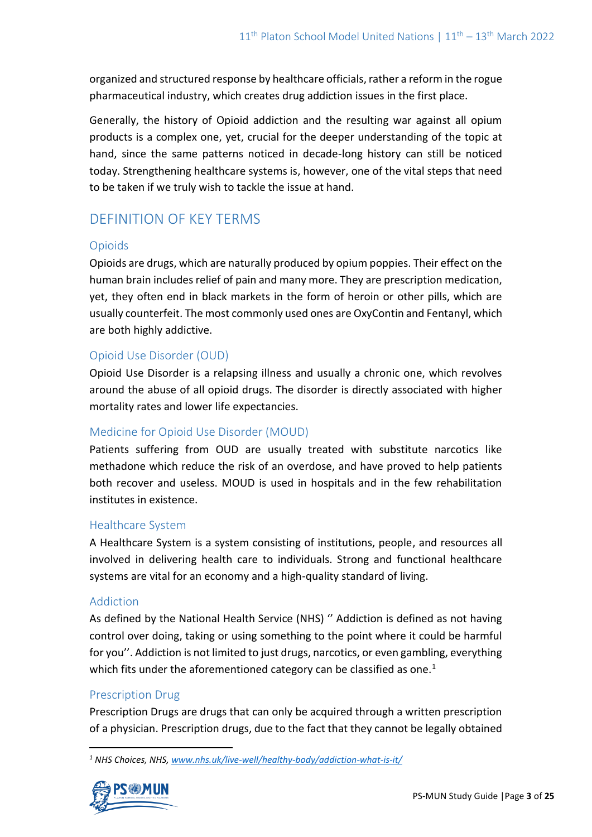organized and structured response by healthcare officials, rather a reform in the rogue pharmaceutical industry, which creates drug addiction issues in the first place.

Generally, the history of Opioid addiction and the resulting war against all opium products is a complex one, yet, crucial for the deeper understanding of the topic at hand, since the same patterns noticed in decade-long history can still be noticed today. Strengthening healthcare systems is, however, one of the vital steps that need to be taken if we truly wish to tackle the issue at hand.

# DEFINITION OF KEY TERMS

### Opioids

Opioids are drugs, which are naturally produced by opium poppies. Their effect on the human brain includes relief of pain and many more. They are prescription medication, yet, they often end in black markets in the form of heroin or other pills, which are usually counterfeit. The most commonly used ones are OxyContin and Fentanyl, which are both highly addictive.

### Opioid Use Disorder (OUD)

Opioid Use Disorder is a relapsing illness and usually a chronic one, which revolves around the abuse of all opioid drugs. The disorder is directly associated with higher mortality rates and lower life expectancies.

### Medicine for Opioid Use Disorder (MOUD)

Patients suffering from OUD are usually treated with substitute narcotics like methadone which reduce the risk of an overdose, and have proved to help patients both recover and useless. MOUD is used in hospitals and in the few rehabilitation institutes in existence.

### Healthcare System

A Healthcare System is a system consisting of institutions, people, and resources all involved in delivering health care to individuals. Strong and functional healthcare systems are vital for an economy and a high-quality standard of living.

#### Addiction

As defined by the National Health Service (NHS) '' Addiction is defined as not having control over doing, taking or using something to the point where it could be harmful for you''. Addiction is not limited to just drugs, narcotics, or even gambling, everything which fits under the aforementioned category can be classified as one.<sup>1</sup>

### Prescription Drug

Prescription Drugs are drugs that can only be acquired through a written prescription of a physician. Prescription drugs, due to the fact that they cannot be legally obtained

*<sup>1</sup> NHS Choices, NHS[, www.nhs.uk/live-well/healthy-body/addiction-what-is-it/](http://www.nhs.uk/live-well/healthy-body/addiction-what-is-it/)*

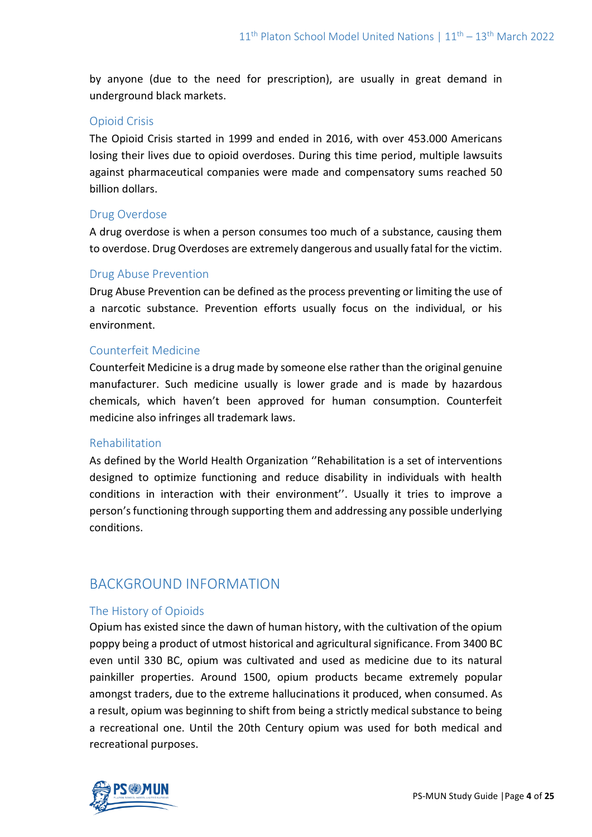by anyone (due to the need for prescription), are usually in great demand in underground black markets.

### Opioid Crisis

The Opioid Crisis started in 1999 and ended in 2016, with over 453.000 Americans losing their lives due to opioid overdoses. During this time period, multiple lawsuits against pharmaceutical companies were made and compensatory sums reached 50 billion dollars.

### Drug Overdose

A drug overdose is when a person consumes too much of a substance, causing them to overdose. Drug Overdoses are extremely dangerous and usually fatal for the victim.

### Drug Abuse Prevention

Drug Abuse Prevention can be defined as the process preventing or limiting the use of a narcotic substance. Prevention efforts usually focus on the individual, or his environment.

### Counterfeit Medicine

Counterfeit Medicine is a drug made by someone else rather than the original genuine manufacturer. Such medicine usually is lower grade and is made by hazardous chemicals, which haven't been approved for human consumption. Counterfeit medicine also infringes all trademark laws.

### Rehabilitation

As defined by the World Health Organization ''Rehabilitation is a set of interventions designed to optimize functioning and reduce disability in individuals with health conditions in interaction with their environment''. Usually it tries to improve a person's functioning through supporting them and addressing any possible underlying conditions.

# BACKGROUND INFORMATION

### The History of Opioids

Opium has existed since the dawn of human history, with the cultivation of the opium poppy being a product of utmost historical and agricultural significance. From 3400 BC even until 330 BC, opium was cultivated and used as medicine due to its natural painkiller properties. Around 1500, opium products became extremely popular amongst traders, due to the extreme hallucinations it produced, when consumed. As a result, opium was beginning to shift from being a strictly medical substance to being a recreational one. Until the 20th Century opium was used for both medical and recreational purposes.

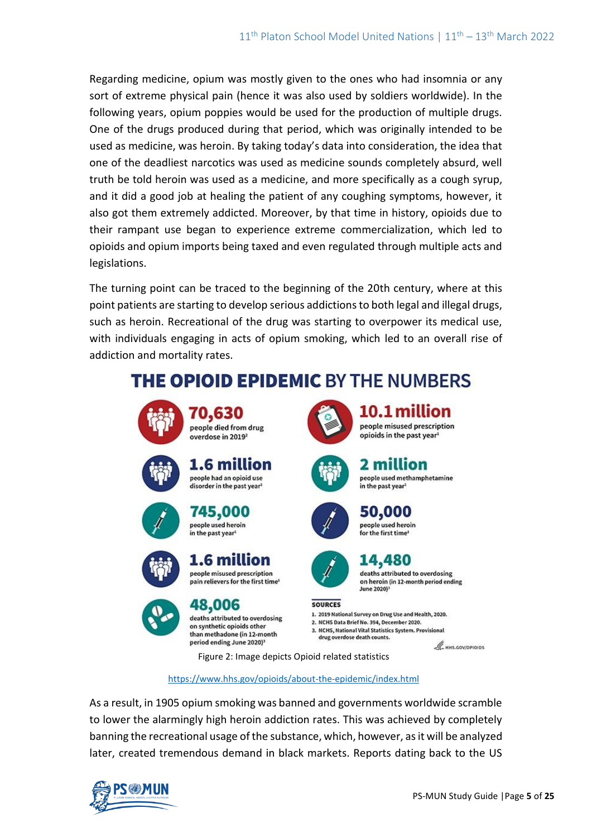Regarding medicine, opium was mostly given to the ones who had insomnia or any sort of extreme physical pain (hence it was also used by soldiers worldwide). In the following years, opium poppies would be used for the production of multiple drugs. One of the drugs produced during that period, which was originally intended to be used as medicine, was heroin. By taking today's data into consideration, the idea that one of the deadliest narcotics was used as medicine sounds completely absurd, well truth be told heroin was used as a medicine, and more specifically as a cough syrup, and it did a good job at healing the patient of any coughing symptoms, however, it also got them extremely addicted. Moreover, by that time in history, opioids due to their rampant use began to experience extreme commercialization, which led to opioids and opium imports being taxed and even regulated through multiple acts and legislations.

The turning point can be traced to the beginning of the 20th century, where at this point patients are starting to develop serious addictions to both legal and illegal drugs, such as heroin. Recreational of the drug was starting to overpower its medical use, with individuals engaging in acts of opium smoking, which led to an overall rise of addiction and mortality rates.

# **THE OPIOID EPIDEMIC BY THE NUMBERS**















deaths attributed to overdosing on synthetic opioids other than methadone (in 12-month) period ending June 2020)<sup>3</sup>



10.1 million people misused prescription opioids in the past year<sup>1</sup>

#### 2 million people used methamphetamine in the past vear!





# 14,480 deaths attributed to overdosing

on heroin (in 12-month period ending **June 2020)** 

#### **SOURCES**

1. 2019 National Survey on Drug Use and Health, 2020. 2. NCHS Data Brief No. 394, December 2020.

3. NCHS, National Vital Statistics System. Provisional drug overdose death counts.

 $\mathcal{L}$  HHS.GOV/OPIOIDS

Figure 2: Image depicts Opioid related statistics

#### <https://www.hhs.gov/opioids/about-the-epidemic/index.html>

As a result, in 1905 opium smoking was banned and governments worldwide scramble to lower the alarmingly high heroin addiction rates. This was achieved by completely banning the recreational usage of the substance, which, however, as it will be analyzed later, created tremendous demand in black markets. Reports dating back to the US

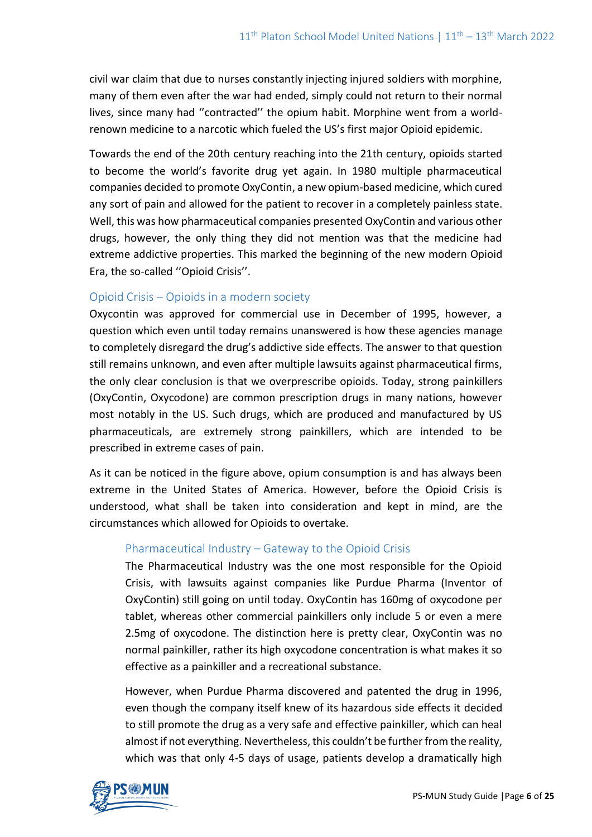civil war claim that due to nurses constantly injecting injured soldiers with morphine, many of them even after the war had ended, simply could not return to their normal lives, since many had ''contracted'' the opium habit. Morphine went from a worldrenown medicine to a narcotic which fueled the US's first major Opioid epidemic.

Towards the end of the 20th century reaching into the 21th century, opioids started to become the world's favorite drug yet again. In 1980 multiple pharmaceutical companies decided to promote OxyContin, a new opium-based medicine, which cured any sort of pain and allowed for the patient to recover in a completely painless state. Well, this was how pharmaceutical companies presented OxyContin and various other drugs, however, the only thing they did not mention was that the medicine had extreme addictive properties. This marked the beginning of the new modern Opioid Era, the so-called ''Opioid Crisis''.

### Opioid Crisis – Opioids in a modern society

Oxycontin was approved for commercial use in December of 1995, however, a question which even until today remains unanswered is how these agencies manage to completely disregard the drug's addictive side effects. The answer to that question still remains unknown, and even after multiple lawsuits against pharmaceutical firms, the only clear conclusion is that we overprescribe opioids. Today, strong painkillers (OxyContin, Oxycodone) are common prescription drugs in many nations, however most notably in the US. Such drugs, which are produced and manufactured by US pharmaceuticals, are extremely strong painkillers, which are intended to be prescribed in extreme cases of pain.

As it can be noticed in the figure above, opium consumption is and has always been extreme in the United States of America. However, before the Opioid Crisis is understood, what shall be taken into consideration and kept in mind, are the circumstances which allowed for Opioids to overtake.

### Pharmaceutical Industry – Gateway to the Opioid Crisis

The Pharmaceutical Industry was the one most responsible for the Opioid Crisis, with lawsuits against companies like Purdue Pharma (Inventor of OxyContin) still going on until today. OxyContin has 160mg of oxycodone per tablet, whereas other commercial painkillers only include 5 or even a mere 2.5mg of oxycodone. The distinction here is pretty clear, OxyContin was no normal painkiller, rather its high oxycodone concentration is what makes it so effective as a painkiller and a recreational substance.

However, when Purdue Pharma discovered and patented the drug in 1996, even though the company itself knew of its hazardous side effects it decided to still promote the drug as a very safe and effective painkiller, which can heal almost if not everything. Nevertheless, this couldn't be further from the reality, which was that only 4-5 days of usage, patients develop a dramatically high

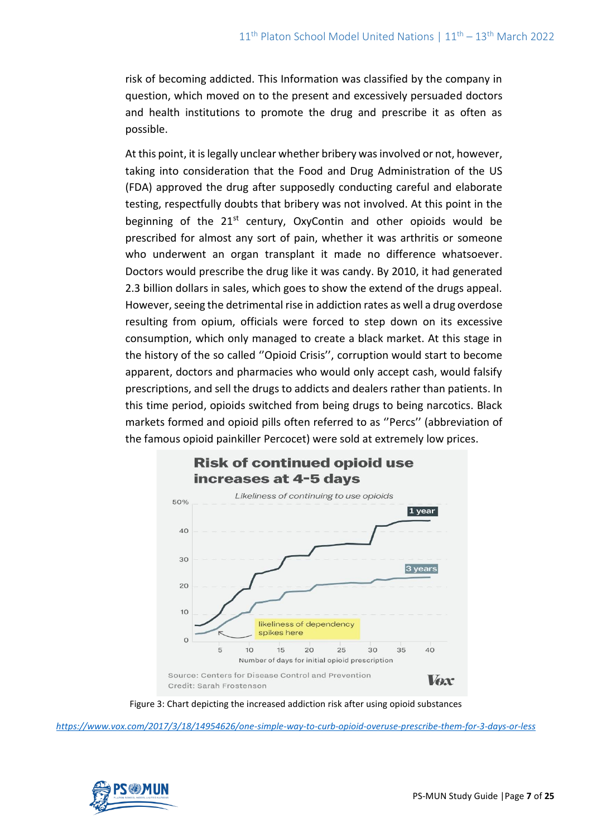risk of becoming addicted. This Information was classified by the company in question, which moved on to the present and excessively persuaded doctors and health institutions to promote the drug and prescribe it as often as possible.

At this point, it is legally unclear whether bribery was involved or not, however, taking into consideration that the Food and Drug Administration of the US (FDA) approved the drug after supposedly conducting careful and elaborate testing, respectfully doubts that bribery was not involved. At this point in the beginning of the  $21^{st}$  century, OxyContin and other opioids would be prescribed for almost any sort of pain, whether it was arthritis or someone who underwent an organ transplant it made no difference whatsoever. Doctors would prescribe the drug like it was candy. By 2010, it had generated 2.3 billion dollars in sales, which goes to show the extend of the drugs appeal. However, seeing the detrimental rise in addiction rates as well a drug overdose resulting from opium, officials were forced to step down on its excessive consumption, which only managed to create a black market. At this stage in the history of the so called ''Opioid Crisis'', corruption would start to become apparent, doctors and pharmacies who would only accept cash, would falsify prescriptions, and sell the drugs to addicts and dealers rather than patients. In this time period, opioids switched from being drugs to being narcotics. Black markets formed and opioid pills often referred to as ''Percs'' (abbreviation of the famous opioid painkiller Percocet) were sold at extremely low prices.



Figure 3: Chart depicting the increased addiction risk after using opioid substances

*<https://www.vox.com/2017/3/18/14954626/one-simple-way-to-curb-opioid-overuse-prescribe-them-for-3-days-or-less>*

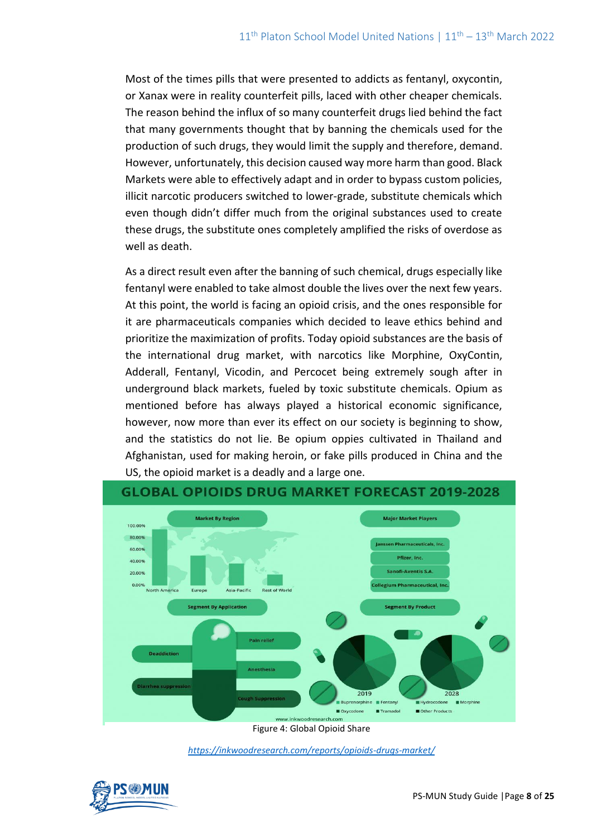Most of the times pills that were presented to addicts as fentanyl, oxycontin, or Xanax were in reality counterfeit pills, laced with other cheaper chemicals. The reason behind the influx of so many counterfeit drugs lied behind the fact that many governments thought that by banning the chemicals used for the production of such drugs, they would limit the supply and therefore, demand. However, unfortunately, this decision caused way more harm than good. Black Markets were able to effectively adapt and in order to bypass custom policies, illicit narcotic producers switched to lower-grade, substitute chemicals which even though didn't differ much from the original substances used to create these drugs, the substitute ones completely amplified the risks of overdose as well as death.

As a direct result even after the banning of such chemical, drugs especially like fentanyl were enabled to take almost double the lives over the next few years. At this point, the world is facing an opioid crisis, and the ones responsible for it are pharmaceuticals companies which decided to leave ethics behind and prioritize the maximization of profits. Today opioid substances are the basis of the international drug market, with narcotics like Morphine, OxyContin, Adderall, Fentanyl, Vicodin, and Percocet being extremely sough after in underground black markets, fueled by toxic substitute chemicals. Opium as mentioned before has always played a historical economic significance, however, now more than ever its effect on our society is beginning to show, and the statistics do not lie. Be opium oppies cultivated in Thailand and Afghanistan, used for making heroin, or fake pills produced in China and the US, the opioid market is a deadly and a large one.



*<https://inkwoodresearch.com/reports/opioids-drugs-market/>*

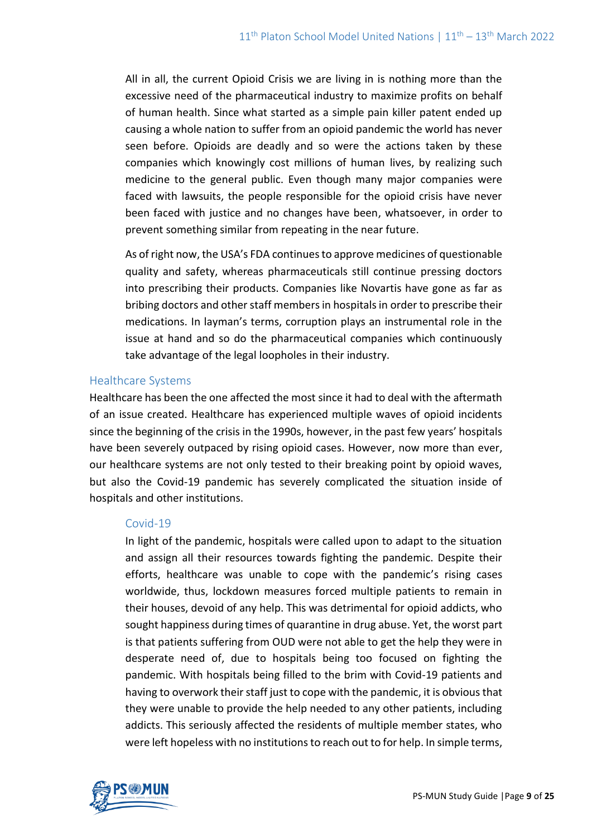All in all, the current Opioid Crisis we are living in is nothing more than the excessive need of the pharmaceutical industry to maximize profits on behalf of human health. Since what started as a simple pain killer patent ended up causing a whole nation to suffer from an opioid pandemic the world has never seen before. Opioids are deadly and so were the actions taken by these companies which knowingly cost millions of human lives, by realizing such medicine to the general public. Even though many major companies were faced with lawsuits, the people responsible for the opioid crisis have never been faced with justice and no changes have been, whatsoever, in order to prevent something similar from repeating in the near future.

As of right now, the USA's FDA continues to approve medicines of questionable quality and safety, whereas pharmaceuticals still continue pressing doctors into prescribing their products. Companies like Novartis have gone as far as bribing doctors and other staff members in hospitals in order to prescribe their medications. In layman's terms, corruption plays an instrumental role in the issue at hand and so do the pharmaceutical companies which continuously take advantage of the legal loopholes in their industry.

#### Healthcare Systems

Healthcare has been the one affected the most since it had to deal with the aftermath of an issue created. Healthcare has experienced multiple waves of opioid incidents since the beginning of the crisis in the 1990s, however, in the past few years' hospitals have been severely outpaced by rising opioid cases. However, now more than ever, our healthcare systems are not only tested to their breaking point by opioid waves, but also the Covid-19 pandemic has severely complicated the situation inside of hospitals and other institutions.

#### Covid-19

In light of the pandemic, hospitals were called upon to adapt to the situation and assign all their resources towards fighting the pandemic. Despite their efforts, healthcare was unable to cope with the pandemic's rising cases worldwide, thus, lockdown measures forced multiple patients to remain in their houses, devoid of any help. This was detrimental for opioid addicts, who sought happiness during times of quarantine in drug abuse. Yet, the worst part is that patients suffering from OUD were not able to get the help they were in desperate need of, due to hospitals being too focused on fighting the pandemic. With hospitals being filled to the brim with Covid-19 patients and having to overwork their staff just to cope with the pandemic, it is obvious that they were unable to provide the help needed to any other patients, including addicts. This seriously affected the residents of multiple member states, who were left hopeless with no institutions to reach out to for help. In simple terms,

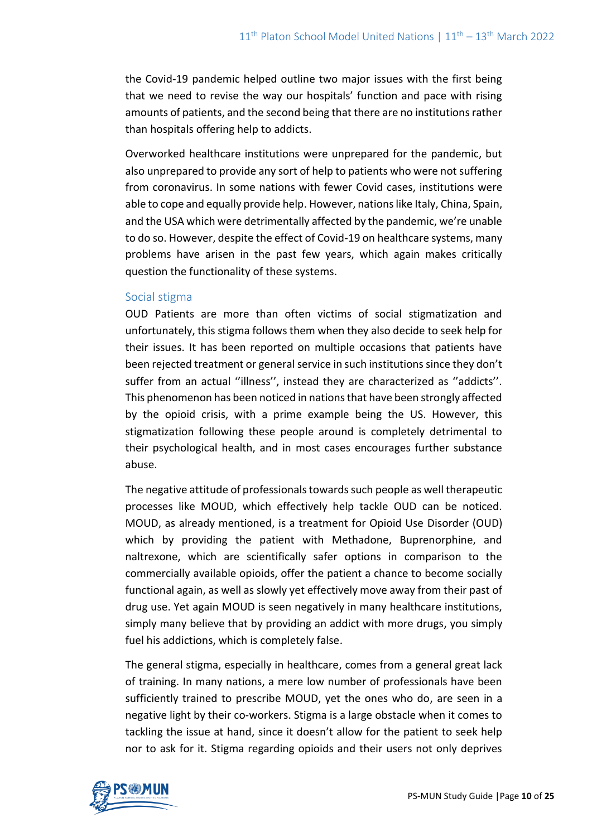the Covid-19 pandemic helped outline two major issues with the first being that we need to revise the way our hospitals' function and pace with rising amounts of patients, and the second being that there are no institutions rather than hospitals offering help to addicts.

Overworked healthcare institutions were unprepared for the pandemic, but also unprepared to provide any sort of help to patients who were not suffering from coronavirus. In some nations with fewer Covid cases, institutions were able to cope and equally provide help. However, nations like Italy, China, Spain, and the USA which were detrimentally affected by the pandemic, we're unable to do so. However, despite the effect of Covid-19 on healthcare systems, many problems have arisen in the past few years, which again makes critically question the functionality of these systems.

#### Social stigma

OUD Patients are more than often victims of social stigmatization and unfortunately, this stigma follows them when they also decide to seek help for their issues. It has been reported on multiple occasions that patients have been rejected treatment or general service in such institutions since they don't suffer from an actual "illness", instead they are characterized as "addicts". This phenomenon has been noticed in nations that have been strongly affected by the opioid crisis, with a prime example being the US. However, this stigmatization following these people around is completely detrimental to their psychological health, and in most cases encourages further substance abuse.

The negative attitude of professionals towards such people as well therapeutic processes like MOUD, which effectively help tackle OUD can be noticed. MOUD, as already mentioned, is a treatment for Opioid Use Disorder (OUD) which by providing the patient with Methadone, Buprenorphine, and naltrexone, which are scientifically safer options in comparison to the commercially available opioids, offer the patient a chance to become socially functional again, as well as slowly yet effectively move away from their past of drug use. Yet again MOUD is seen negatively in many healthcare institutions, simply many believe that by providing an addict with more drugs, you simply fuel his addictions, which is completely false.

The general stigma, especially in healthcare, comes from a general great lack of training. In many nations, a mere low number of professionals have been sufficiently trained to prescribe MOUD, yet the ones who do, are seen in a negative light by their co-workers. Stigma is a large obstacle when it comes to tackling the issue at hand, since it doesn't allow for the patient to seek help nor to ask for it. Stigma regarding opioids and their users not only deprives

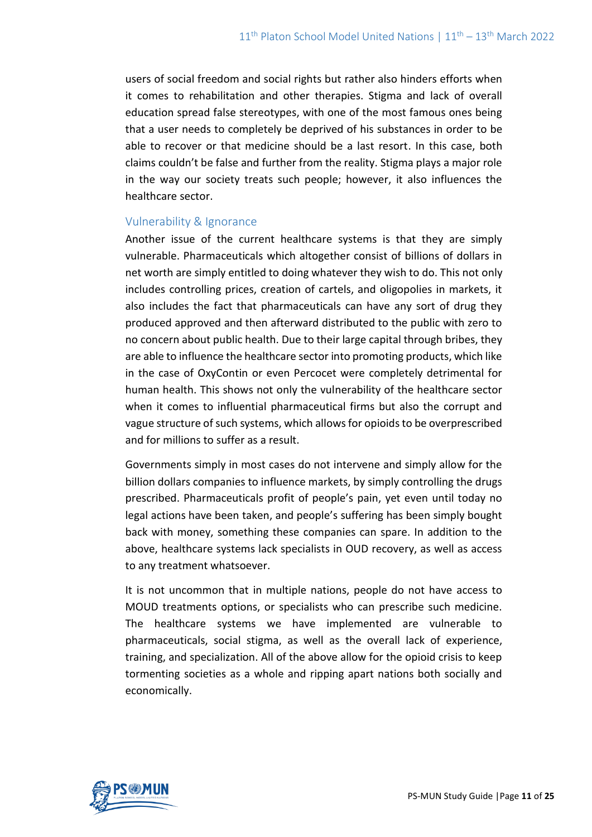users of social freedom and social rights but rather also hinders efforts when it comes to rehabilitation and other therapies. Stigma and lack of overall education spread false stereotypes, with one of the most famous ones being that a user needs to completely be deprived of his substances in order to be able to recover or that medicine should be a last resort. In this case, both claims couldn't be false and further from the reality. Stigma plays a major role in the way our society treats such people; however, it also influences the healthcare sector.

### Vulnerability & Ignorance

Another issue of the current healthcare systems is that they are simply vulnerable. Pharmaceuticals which altogether consist of billions of dollars in net worth are simply entitled to doing whatever they wish to do. This not only includes controlling prices, creation of cartels, and oligopolies in markets, it also includes the fact that pharmaceuticals can have any sort of drug they produced approved and then afterward distributed to the public with zero to no concern about public health. Due to their large capital through bribes, they are able to influence the healthcare sector into promoting products, which like in the case of OxyContin or even Percocet were completely detrimental for human health. This shows not only the vulnerability of the healthcare sector when it comes to influential pharmaceutical firms but also the corrupt and vague structure of such systems, which allows for opioids to be overprescribed and for millions to suffer as a result.

Governments simply in most cases do not intervene and simply allow for the billion dollars companies to influence markets, by simply controlling the drugs prescribed. Pharmaceuticals profit of people's pain, yet even until today no legal actions have been taken, and people's suffering has been simply bought back with money, something these companies can spare. In addition to the above, healthcare systems lack specialists in OUD recovery, as well as access to any treatment whatsoever.

It is not uncommon that in multiple nations, people do not have access to MOUD treatments options, or specialists who can prescribe such medicine. The healthcare systems we have implemented are vulnerable to pharmaceuticals, social stigma, as well as the overall lack of experience, training, and specialization. All of the above allow for the opioid crisis to keep tormenting societies as a whole and ripping apart nations both socially and economically.

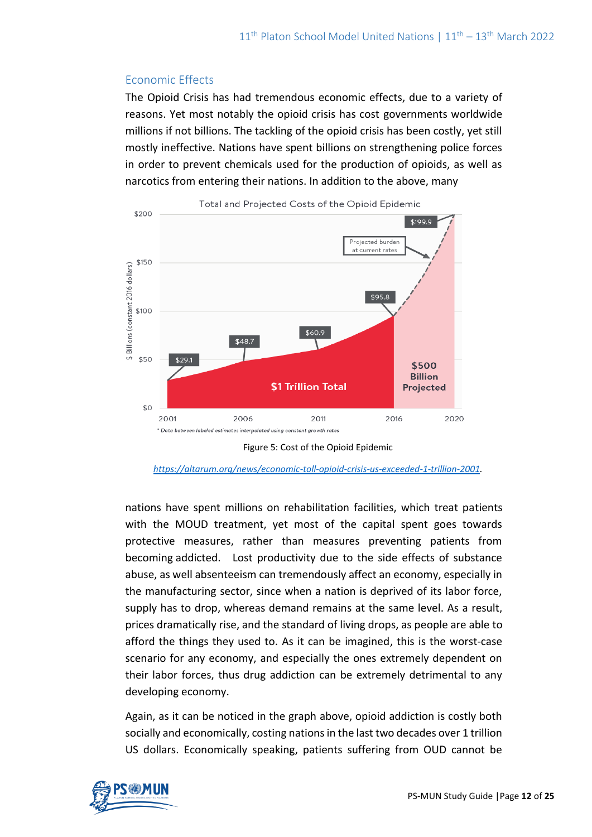### Economic Effects

The Opioid Crisis has had tremendous economic effects, due to a variety of reasons. Yet most notably the opioid crisis has cost governments worldwide millions if not billions. The tackling of the opioid crisis has been costly, yet still mostly ineffective. Nations have spent billions on strengthening police forces in order to prevent chemicals used for the production of opioids, as well as narcotics from entering their nations. In addition to the above, many





*[https://altarum.org/news/economic-toll-opioid-crisis-us-exceeded-1-trillion-2001.](https://altarum.org/news/economic-toll-opioid-crisis-us-exceeded-1-trillion-2001)*

nations have spent millions on rehabilitation facilities, which treat patients with the MOUD treatment, yet most of the capital spent goes towards protective measures, rather than measures preventing patients from becoming addicted. Lost productivity due to the side effects of substance abuse, as well absenteeism can tremendously affect an economy, especially in the manufacturing sector, since when a nation is deprived of its labor force, supply has to drop, whereas demand remains at the same level. As a result, prices dramatically rise, and the standard of living drops, as people are able to afford the things they used to. As it can be imagined, this is the worst-case scenario for any economy, and especially the ones extremely dependent on their labor forces, thus drug addiction can be extremely detrimental to any developing economy.

Again, as it can be noticed in the graph above, opioid addiction is costly both socially and economically, costing nations in the last two decades over 1 trillion US dollars. Economically speaking, patients suffering from OUD cannot be

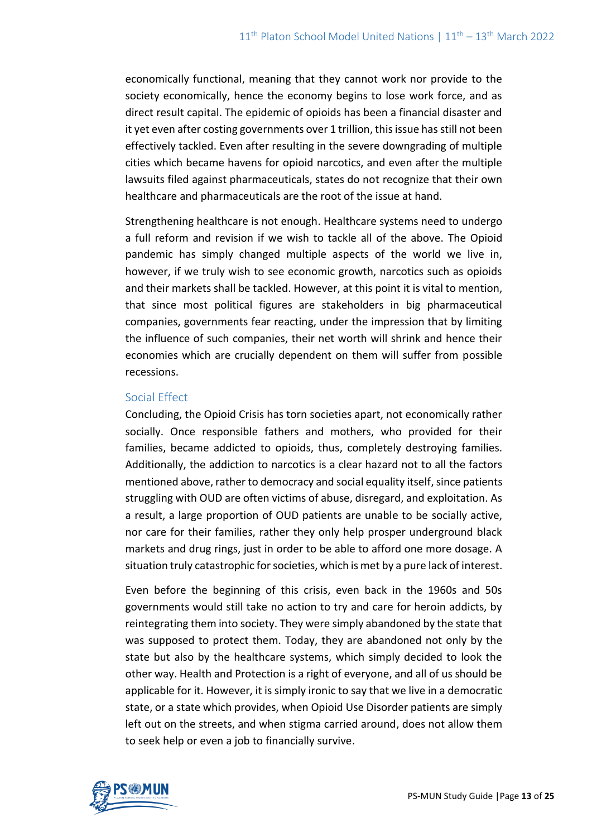economically functional, meaning that they cannot work nor provide to the society economically, hence the economy begins to lose work force, and as direct result capital. The epidemic of opioids has been a financial disaster and it yet even after costing governments over 1 trillion, this issue has still not been effectively tackled. Even after resulting in the severe downgrading of multiple cities which became havens for opioid narcotics, and even after the multiple lawsuits filed against pharmaceuticals, states do not recognize that their own healthcare and pharmaceuticals are the root of the issue at hand.

Strengthening healthcare is not enough. Healthcare systems need to undergo a full reform and revision if we wish to tackle all of the above. The Opioid pandemic has simply changed multiple aspects of the world we live in, however, if we truly wish to see economic growth, narcotics such as opioids and their markets shall be tackled. However, at this point it is vital to mention, that since most political figures are stakeholders in big pharmaceutical companies, governments fear reacting, under the impression that by limiting the influence of such companies, their net worth will shrink and hence their economies which are crucially dependent on them will suffer from possible recessions.

### Social Effect

Concluding, the Opioid Crisis has torn societies apart, not economically rather socially. Once responsible fathers and mothers, who provided for their families, became addicted to opioids, thus, completely destroying families. Additionally, the addiction to narcotics is a clear hazard not to all the factors mentioned above, rather to democracy and social equality itself, since patients struggling with OUD are often victims of abuse, disregard, and exploitation. As a result, a large proportion of OUD patients are unable to be socially active, nor care for their families, rather they only help prosper underground black markets and drug rings, just in order to be able to afford one more dosage. A situation truly catastrophic for societies, which is met by a pure lack of interest.

Even before the beginning of this crisis, even back in the 1960s and 50s governments would still take no action to try and care for heroin addicts, by reintegrating them into society. They were simply abandoned by the state that was supposed to protect them. Today, they are abandoned not only by the state but also by the healthcare systems, which simply decided to look the other way. Health and Protection is a right of everyone, and all of us should be applicable for it. However, it is simply ironic to say that we live in a democratic state, or a state which provides, when Opioid Use Disorder patients are simply left out on the streets, and when stigma carried around, does not allow them to seek help or even a job to financially survive.

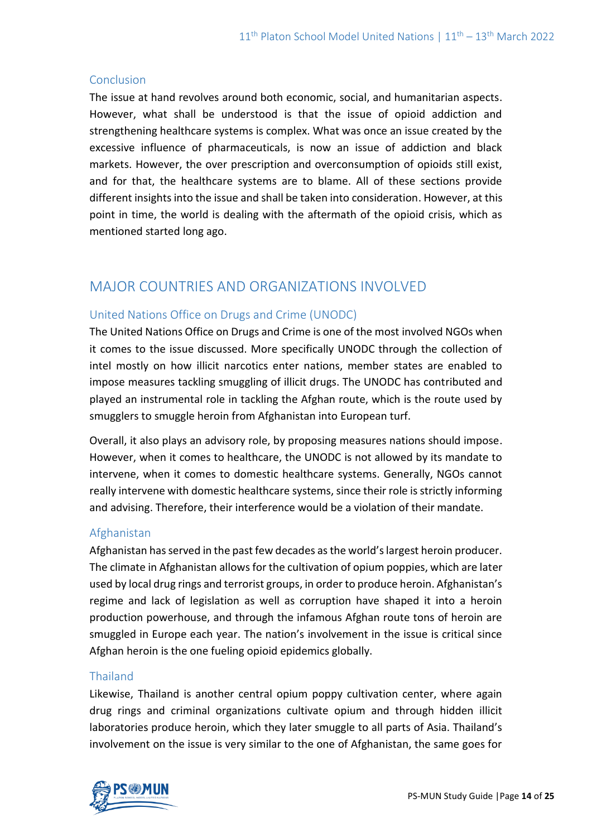#### **Conclusion**

The issue at hand revolves around both economic, social, and humanitarian aspects. However, what shall be understood is that the issue of opioid addiction and strengthening healthcare systems is complex. What was once an issue created by the excessive influence of pharmaceuticals, is now an issue of addiction and black markets. However, the over prescription and overconsumption of opioids still exist, and for that, the healthcare systems are to blame. All of these sections provide different insights into the issue and shall be taken into consideration. However, at this point in time, the world is dealing with the aftermath of the opioid crisis, which as mentioned started long ago.

# MAJOR COUNTRIES AND ORGANIZATIONS INVOLVED

### United Nations Office on Drugs and Crime (UNODC)

The United Nations Office on Drugs and Crime is one of the most involved NGOs when it comes to the issue discussed. More specifically UNODC through the collection of intel mostly on how illicit narcotics enter nations, member states are enabled to impose measures tackling smuggling of illicit drugs. The UNODC has contributed and played an instrumental role in tackling the Afghan route, which is the route used by smugglers to smuggle heroin from Afghanistan into European turf.

Overall, it also plays an advisory role, by proposing measures nations should impose. However, when it comes to healthcare, the UNODC is not allowed by its mandate to intervene, when it comes to domestic healthcare systems. Generally, NGOs cannot really intervene with domestic healthcare systems, since their role is strictly informing and advising. Therefore, their interference would be a violation of their mandate.

### Afghanistan

Afghanistan has served in the past few decades as the world's largest heroin producer. The climate in Afghanistan allows for the cultivation of opium poppies, which are later used by local drug rings and terrorist groups, in order to produce heroin. Afghanistan's regime and lack of legislation as well as corruption have shaped it into a heroin production powerhouse, and through the infamous Afghan route tons of heroin are smuggled in Europe each year. The nation's involvement in the issue is critical since Afghan heroin is the one fueling opioid epidemics globally.

#### Thailand

Likewise, Thailand is another central opium poppy cultivation center, where again drug rings and criminal organizations cultivate opium and through hidden illicit laboratories produce heroin, which they later smuggle to all parts of Asia. Thailand's involvement on the issue is very similar to the one of Afghanistan, the same goes for

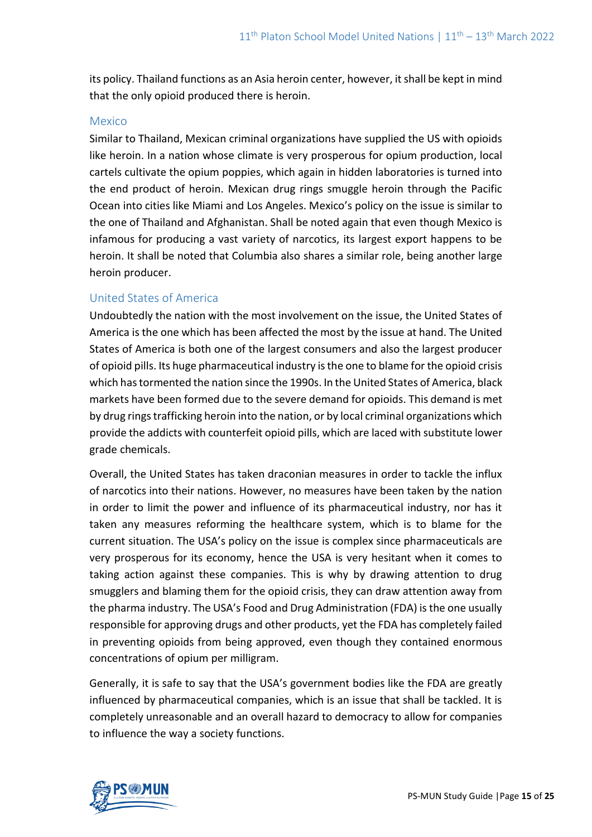its policy. Thailand functions as an Asia heroin center, however, it shall be kept in mind that the only opioid produced there is heroin.

#### Mexico

Similar to Thailand, Mexican criminal organizations have supplied the US with opioids like heroin. In a nation whose climate is very prosperous for opium production, local cartels cultivate the opium poppies, which again in hidden laboratories is turned into the end product of heroin. Mexican drug rings smuggle heroin through the Pacific Ocean into cities like Miami and Los Angeles. Mexico's policy on the issue is similar to the one of Thailand and Afghanistan. Shall be noted again that even though Mexico is infamous for producing a vast variety of narcotics, its largest export happens to be heroin. It shall be noted that Columbia also shares a similar role, being another large heroin producer.

#### United States of America

Undoubtedly the nation with the most involvement on the issue, the United States of America is the one which has been affected the most by the issue at hand. The United States of America is both one of the largest consumers and also the largest producer of opioid pills. Its huge pharmaceutical industry is the one to blame for the opioid crisis which has tormented the nation since the 1990s. In the United States of America, black markets have been formed due to the severe demand for opioids. This demand is met by drug rings trafficking heroin into the nation, or by local criminal organizations which provide the addicts with counterfeit opioid pills, which are laced with substitute lower grade chemicals.

Overall, the United States has taken draconian measures in order to tackle the influx of narcotics into their nations. However, no measures have been taken by the nation in order to limit the power and influence of its pharmaceutical industry, nor has it taken any measures reforming the healthcare system, which is to blame for the current situation. The USA's policy on the issue is complex since pharmaceuticals are very prosperous for its economy, hence the USA is very hesitant when it comes to taking action against these companies. This is why by drawing attention to drug smugglers and blaming them for the opioid crisis, they can draw attention away from the pharma industry. The USA's Food and Drug Administration (FDA) is the one usually responsible for approving drugs and other products, yet the FDA has completely failed in preventing opioids from being approved, even though they contained enormous concentrations of opium per milligram.

Generally, it is safe to say that the USA's government bodies like the FDA are greatly influenced by pharmaceutical companies, which is an issue that shall be tackled. It is completely unreasonable and an overall hazard to democracy to allow for companies to influence the way a society functions.

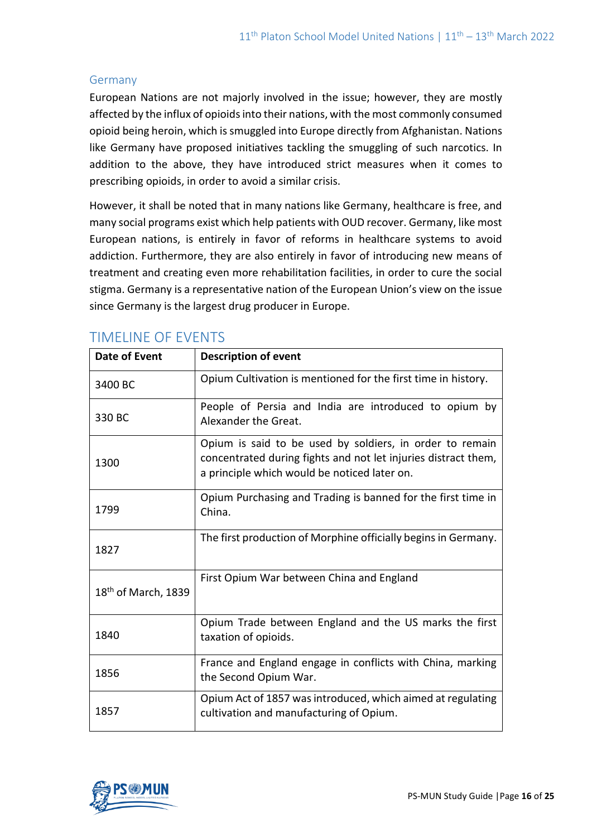#### Germany

European Nations are not majorly involved in the issue; however, they are mostly affected by the influx of opioids into their nations, with the most commonly consumed opioid being heroin, which is smuggled into Europe directly from Afghanistan. Nations like Germany have proposed initiatives tackling the smuggling of such narcotics. In addition to the above, they have introduced strict measures when it comes to prescribing opioids, in order to avoid a similar crisis.

However, it shall be noted that in many nations like Germany, healthcare is free, and many social programs exist which help patients with OUD recover. Germany, like most European nations, is entirely in favor of reforms in healthcare systems to avoid addiction. Furthermore, they are also entirely in favor of introducing new means of treatment and creating even more rehabilitation facilities, in order to cure the social stigma. Germany is a representative nation of the European Union's view on the issue since Germany is the largest drug producer in Europe.

| <b>Date of Event</b>            | <b>Description of event</b>                                                                                                                                                |  |
|---------------------------------|----------------------------------------------------------------------------------------------------------------------------------------------------------------------------|--|
| 3400 BC                         | Opium Cultivation is mentioned for the first time in history.                                                                                                              |  |
| 330 BC                          | People of Persia and India are introduced to opium by<br>Alexander the Great.                                                                                              |  |
| 1300                            | Opium is said to be used by soldiers, in order to remain<br>concentrated during fights and not let injuries distract them,<br>a principle which would be noticed later on. |  |
| 1799                            | Opium Purchasing and Trading is banned for the first time in<br>China.                                                                                                     |  |
| 1827                            | The first production of Morphine officially begins in Germany.                                                                                                             |  |
| 18 <sup>th</sup> of March, 1839 | First Opium War between China and England                                                                                                                                  |  |
| 1840                            | Opium Trade between England and the US marks the first<br>taxation of opioids.                                                                                             |  |
| 1856                            | France and England engage in conflicts with China, marking<br>the Second Opium War.                                                                                        |  |
| 1857                            | Opium Act of 1857 was introduced, which aimed at regulating<br>cultivation and manufacturing of Opium.                                                                     |  |

# TIMELINE OF EVENTS

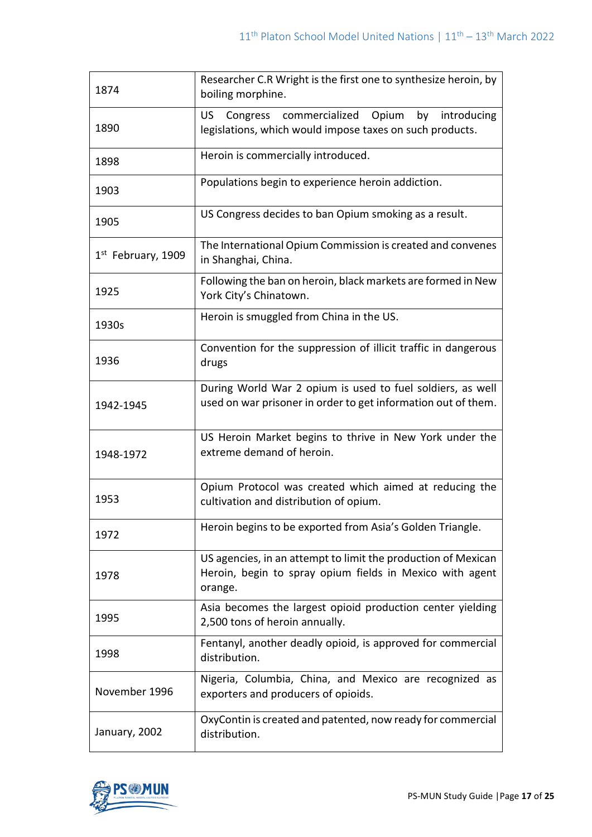| 1874                           | Researcher C.R Wright is the first one to synthesize heroin, by<br>boiling morphine.                                                 |
|--------------------------------|--------------------------------------------------------------------------------------------------------------------------------------|
| 1890                           | Congress commercialized Opium<br>by introducing<br>US.<br>legislations, which would impose taxes on such products.                   |
| 1898                           | Heroin is commercially introduced.                                                                                                   |
| 1903                           | Populations begin to experience heroin addiction.                                                                                    |
| 1905                           | US Congress decides to ban Opium smoking as a result.                                                                                |
| 1 <sup>st</sup> February, 1909 | The International Opium Commission is created and convenes<br>in Shanghai, China.                                                    |
| 1925                           | Following the ban on heroin, black markets are formed in New<br>York City's Chinatown.                                               |
| 1930s                          | Heroin is smuggled from China in the US.                                                                                             |
| 1936                           | Convention for the suppression of illicit traffic in dangerous<br>drugs                                                              |
| 1942-1945                      | During World War 2 opium is used to fuel soldiers, as well<br>used on war prisoner in order to get information out of them.          |
| 1948-1972                      | US Heroin Market begins to thrive in New York under the<br>extreme demand of heroin.                                                 |
| 1953                           | Opium Protocol was created which aimed at reducing the<br>cultivation and distribution of opium.                                     |
| 1972                           | Heroin begins to be exported from Asia's Golden Triangle.                                                                            |
| 1978                           | US agencies, in an attempt to limit the production of Mexican<br>Heroin, begin to spray opium fields in Mexico with agent<br>orange. |
| 1995                           | Asia becomes the largest opioid production center yielding<br>2,500 tons of heroin annually.                                         |
| 1998                           | Fentanyl, another deadly opioid, is approved for commercial<br>distribution.                                                         |
| November 1996                  | Nigeria, Columbia, China, and Mexico are recognized as<br>exporters and producers of opioids.                                        |
| January, 2002                  | OxyContin is created and patented, now ready for commercial<br>distribution.                                                         |

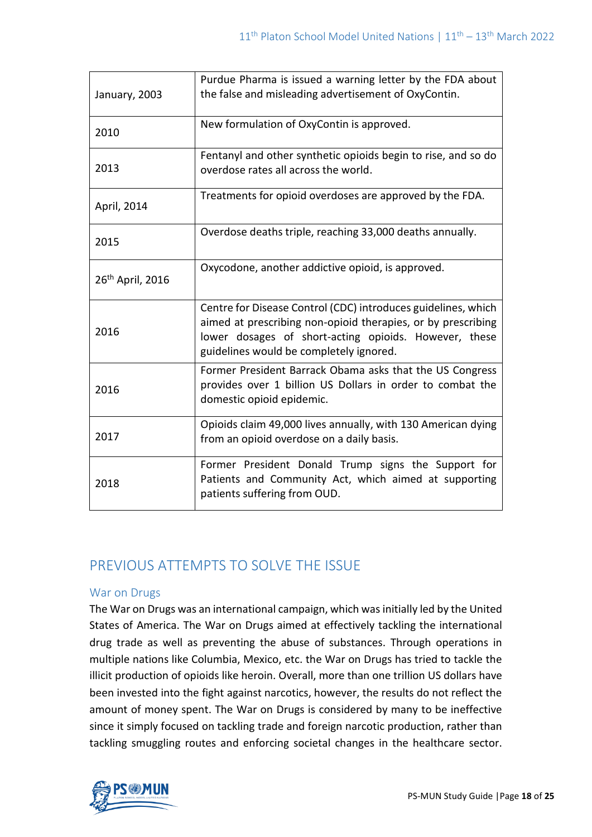| January, 2003                | Purdue Pharma is issued a warning letter by the FDA about<br>the false and misleading advertisement of OxyContin.                                                                                                                 |
|------------------------------|-----------------------------------------------------------------------------------------------------------------------------------------------------------------------------------------------------------------------------------|
| 2010                         | New formulation of OxyContin is approved.                                                                                                                                                                                         |
| 2013                         | Fentanyl and other synthetic opioids begin to rise, and so do<br>overdose rates all across the world.                                                                                                                             |
| April, 2014                  | Treatments for opioid overdoses are approved by the FDA.                                                                                                                                                                          |
| 2015                         | Overdose deaths triple, reaching 33,000 deaths annually.                                                                                                                                                                          |
| 26 <sup>th</sup> April, 2016 | Oxycodone, another addictive opioid, is approved.                                                                                                                                                                                 |
| 2016                         | Centre for Disease Control (CDC) introduces guidelines, which<br>aimed at prescribing non-opioid therapies, or by prescribing<br>lower dosages of short-acting opioids. However, these<br>guidelines would be completely ignored. |
| 2016                         | Former President Barrack Obama asks that the US Congress<br>provides over 1 billion US Dollars in order to combat the<br>domestic opioid epidemic.                                                                                |
| 2017                         | Opioids claim 49,000 lives annually, with 130 American dying<br>from an opioid overdose on a daily basis.                                                                                                                         |
| 2018                         | Former President Donald Trump signs the Support for<br>Patients and Community Act, which aimed at supporting<br>patients suffering from OUD.                                                                                      |

# PREVIOUS ATTEMPTS TO SOLVE THE ISSUE

### War on Drugs

The War on Drugs was an international campaign, which was initially led by the United States of America. The War on Drugs aimed at effectively tackling the international drug trade as well as preventing the abuse of substances. Through operations in multiple nations like Columbia, Mexico, etc. the War on Drugs has tried to tackle the illicit production of opioids like heroin. Overall, more than one trillion US dollars have been invested into the fight against narcotics, however, the results do not reflect the amount of money spent. The War on Drugs is considered by many to be ineffective since it simply focused on tackling trade and foreign narcotic production, rather than tackling smuggling routes and enforcing societal changes in the healthcare sector.

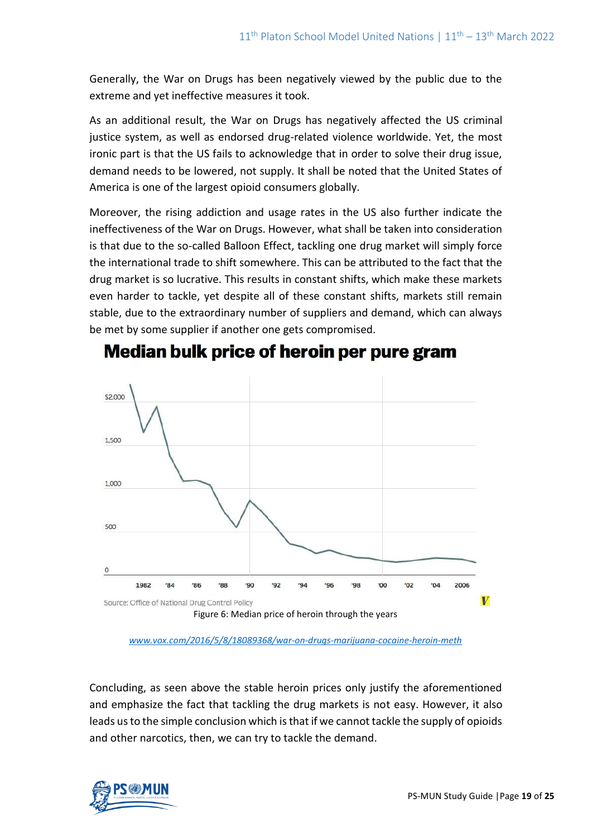Generally, the War on Drugs has been negatively viewed by the public due to the extreme and yet ineffective measures it took.

As an additional result, the War on Drugs has negatively affected the US criminal justice system, as well as endorsed drug-related violence worldwide. Yet, the most ironic part is that the US fails to acknowledge that in order to solve their drug issue, demand needs to be lowered, not supply. It shall be noted that the United States of America is one of the largest opioid consumers globally.

Moreover, the rising addiction and usage rates in the US also further indicate the ineffectiveness of the War on Drugs. However, what shall be taken into consideration is that due to the so-called Balloon Effect, tackling one drug market will simply force the international trade to shift somewhere. This can be attributed to the fact that the drug market is so lucrative. This results in constant shifts, which make these markets even harder to tackle, yet despite all of these constant shifts, markets still remain stable, due to the extraordinary number of suppliers and demand, which can always be met by some supplier if another one gets compromised.



# Median bulk price of heroin per pure gram

*[www.vox.com/2016/5/8/18089368/war-on-drugs-marijuana-cocaine-heroin-meth](http://www.vox.com/2016/5/8/18089368/war-on-drugs-marijuana-cocaine-heroin-meth)*

Concluding, as seen above the stable heroin prices only justify the aforementioned and emphasize the fact that tackling the drug markets is not easy. However, it also leads us to the simple conclusion which is that if we cannot tackle the supply of opioids and other narcotics, then, we can try to tackle the demand.

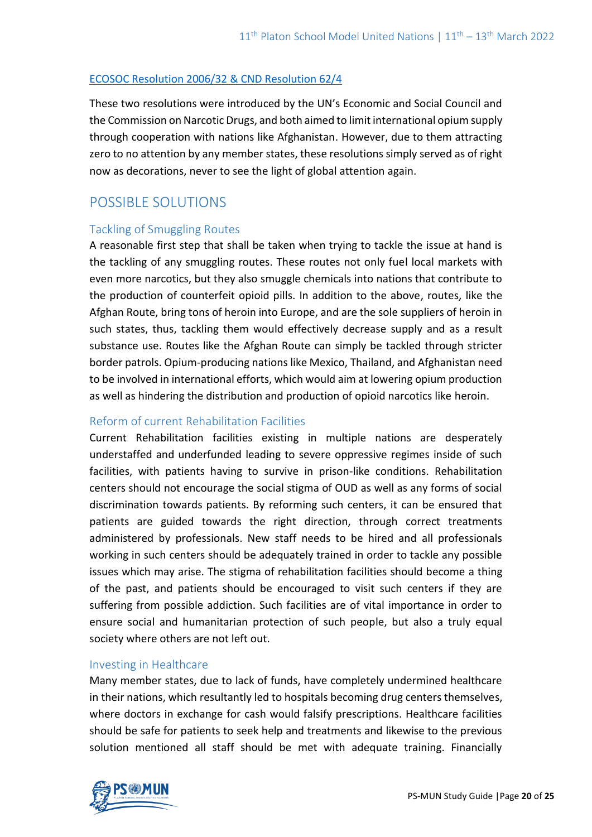#### [ECOSOC Resolution 2006/32 & CND Resolution 62/4](http://www.un.org/en/ecosoc/docs/2006/resolution%202006-48.pdf)

These two resolutions were introduced by the UN's Economic and Social Council and the Commission on Narcotic Drugs, and both aimed to limit international opium supply through cooperation with nations like Afghanistan. However, due to them attracting zero to no attention by any member states, these resolutions simply served as of right now as decorations, never to see the light of global attention again.

# POSSIBLE SOLUTIONS

#### Tackling of Smuggling Routes

A reasonable first step that shall be taken when trying to tackle the issue at hand is the tackling of any smuggling routes. These routes not only fuel local markets with even more narcotics, but they also smuggle chemicals into nations that contribute to the production of counterfeit opioid pills. In addition to the above, routes, like the Afghan Route, bring tons of heroin into Europe, and are the sole suppliers of heroin in such states, thus, tackling them would effectively decrease supply and as a result substance use. Routes like the Afghan Route can simply be tackled through stricter border patrols. Opium-producing nations like Mexico, Thailand, and Afghanistan need to be involved in international efforts, which would aim at lowering opium production as well as hindering the distribution and production of opioid narcotics like heroin.

### Reform of current Rehabilitation Facilities

Current Rehabilitation facilities existing in multiple nations are desperately understaffed and underfunded leading to severe oppressive regimes inside of such facilities, with patients having to survive in prison-like conditions. Rehabilitation centers should not encourage the social stigma of OUD as well as any forms of social discrimination towards patients. By reforming such centers, it can be ensured that patients are guided towards the right direction, through correct treatments administered by professionals. New staff needs to be hired and all professionals working in such centers should be adequately trained in order to tackle any possible issues which may arise. The stigma of rehabilitation facilities should become a thing of the past, and patients should be encouraged to visit such centers if they are suffering from possible addiction. Such facilities are of vital importance in order to ensure social and humanitarian protection of such people, but also a truly equal society where others are not left out.

#### Investing in Healthcare

Many member states, due to lack of funds, have completely undermined healthcare in their nations, which resultantly led to hospitals becoming drug centers themselves, where doctors in exchange for cash would falsify prescriptions. Healthcare facilities should be safe for patients to seek help and treatments and likewise to the previous solution mentioned all staff should be met with adequate training. Financially

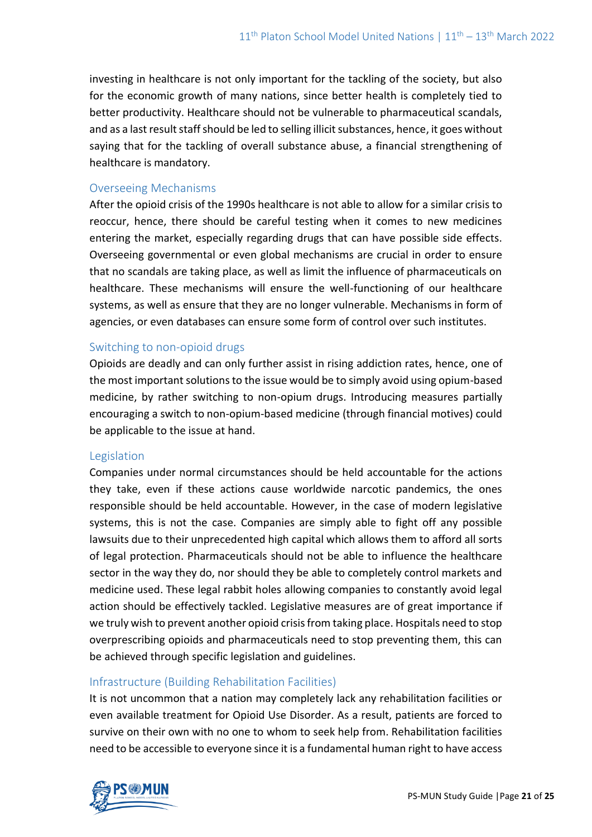investing in healthcare is not only important for the tackling of the society, but also for the economic growth of many nations, since better health is completely tied to better productivity. Healthcare should not be vulnerable to pharmaceutical scandals, and as a last result staff should be led to selling illicit substances, hence, it goes without saying that for the tackling of overall substance abuse, a financial strengthening of healthcare is mandatory.

#### Overseeing Mechanisms

After the opioid crisis of the 1990s healthcare is not able to allow for a similar crisis to reoccur, hence, there should be careful testing when it comes to new medicines entering the market, especially regarding drugs that can have possible side effects. Overseeing governmental or even global mechanisms are crucial in order to ensure that no scandals are taking place, as well as limit the influence of pharmaceuticals on healthcare. These mechanisms will ensure the well-functioning of our healthcare systems, as well as ensure that they are no longer vulnerable. Mechanisms in form of agencies, or even databases can ensure some form of control over such institutes.

### Switching to non-opioid drugs

Opioids are deadly and can only further assist in rising addiction rates, hence, one of the most important solutions to the issue would be to simply avoid using opium-based medicine, by rather switching to non-opium drugs. Introducing measures partially encouraging a switch to non-opium-based medicine (through financial motives) could be applicable to the issue at hand.

#### Legislation

Companies under normal circumstances should be held accountable for the actions they take, even if these actions cause worldwide narcotic pandemics, the ones responsible should be held accountable. However, in the case of modern legislative systems, this is not the case. Companies are simply able to fight off any possible lawsuits due to their unprecedented high capital which allows them to afford all sorts of legal protection. Pharmaceuticals should not be able to influence the healthcare sector in the way they do, nor should they be able to completely control markets and medicine used. These legal rabbit holes allowing companies to constantly avoid legal action should be effectively tackled. Legislative measures are of great importance if we truly wish to prevent another opioid crisis from taking place. Hospitals need to stop overprescribing opioids and pharmaceuticals need to stop preventing them, this can be achieved through specific legislation and guidelines.

### Infrastructure (Building Rehabilitation Facilities)

It is not uncommon that a nation may completely lack any rehabilitation facilities or even available treatment for Opioid Use Disorder. As a result, patients are forced to survive on their own with no one to whom to seek help from. Rehabilitation facilities need to be accessible to everyone since it is a fundamental human right to have access

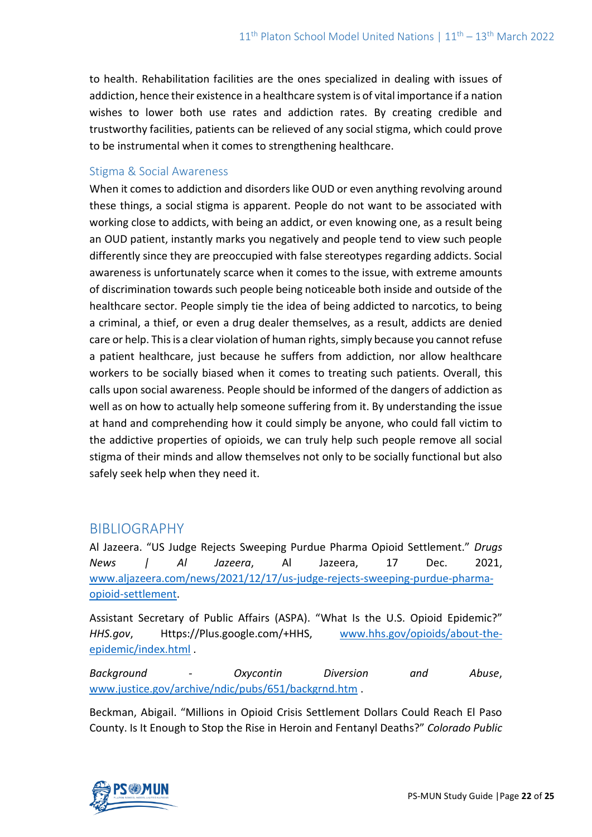to health. Rehabilitation facilities are the ones specialized in dealing with issues of addiction, hence their existence in a healthcare system is of vital importance if a nation wishes to lower both use rates and addiction rates. By creating credible and trustworthy facilities, patients can be relieved of any social stigma, which could prove to be instrumental when it comes to strengthening healthcare.

### Stigma & Social Awareness

When it comes to addiction and disorders like OUD or even anything revolving around these things, a social stigma is apparent. People do not want to be associated with working close to addicts, with being an addict, or even knowing one, as a result being an OUD patient, instantly marks you negatively and people tend to view such people differently since they are preoccupied with false stereotypes regarding addicts. Social awareness is unfortunately scarce when it comes to the issue, with extreme amounts of discrimination towards such people being noticeable both inside and outside of the healthcare sector. People simply tie the idea of being addicted to narcotics, to being a criminal, a thief, or even a drug dealer themselves, as a result, addicts are denied care or help. This is a clear violation of human rights, simply because you cannot refuse a patient healthcare, just because he suffers from addiction, nor allow healthcare workers to be socially biased when it comes to treating such patients. Overall, this calls upon social awareness. People should be informed of the dangers of addiction as well as on how to actually help someone suffering from it. By understanding the issue at hand and comprehending how it could simply be anyone, who could fall victim to the addictive properties of opioids, we can truly help such people remove all social stigma of their minds and allow themselves not only to be socially functional but also safely seek help when they need it.

### BIBLIOGRAPHY

Al Jazeera. "US Judge Rejects Sweeping Purdue Pharma Opioid Settlement." *Drugs News | Al Jazeera*, Al Jazeera, 17 Dec. 2021, [www.aljazeera.com/news/2021/12/17/us-judge-rejects-sweeping-purdue-pharma](http://www.aljazeera.com/news/2021/12/17/us-judge-rejects-sweeping-purdue-pharma-opioid-settlement)[opioid-settlement.](http://www.aljazeera.com/news/2021/12/17/us-judge-rejects-sweeping-purdue-pharma-opioid-settlement)

Assistant Secretary of Public Affairs (ASPA). "What Is the U.S. Opioid Epidemic?" *HHS.gov*, Https://Plus.google.com/+HHS, [www.hhs.gov/opioids/about-the](http://www.hhs.gov/opioids/about-the-epidemic/index.html)[epidemic/index.html](http://www.hhs.gov/opioids/about-the-epidemic/index.html) .

*Background - Oxycontin Diversion and Abuse*, [www.justice.gov/archive/ndic/pubs/651/backgrnd.htm](http://www.justice.gov/archive/ndic/pubs/651/backgrnd.htm) .

Beckman, Abigail. "Millions in Opioid Crisis Settlement Dollars Could Reach El Paso County. Is It Enough to Stop the Rise in Heroin and Fentanyl Deaths?" *Colorado Public* 

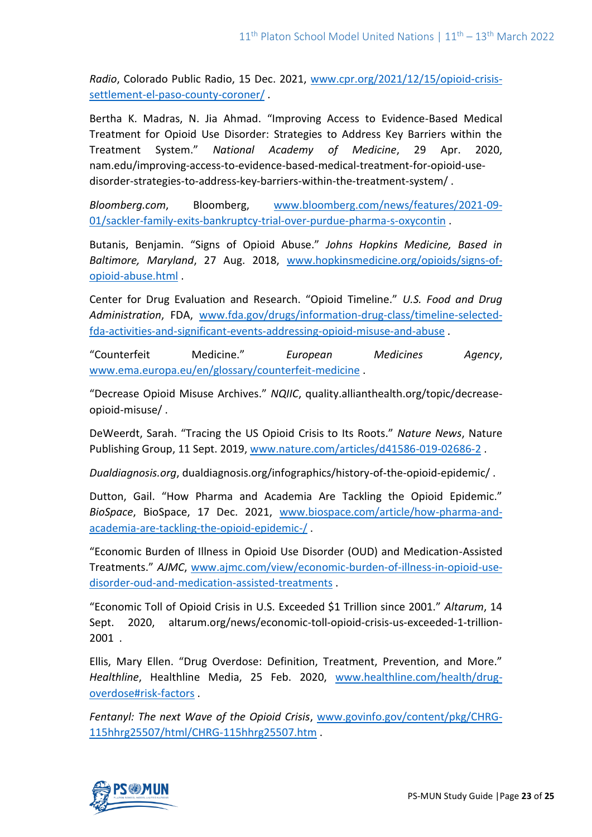*Radio*, Colorado Public Radio, 15 Dec. 2021, [www.cpr.org/2021/12/15/opioid-crisis](http://www.cpr.org/2021/12/15/opioid-crisis-settlement-el-paso-county-coroner/)[settlement-el-paso-county-coroner/](http://www.cpr.org/2021/12/15/opioid-crisis-settlement-el-paso-county-coroner/) .

Bertha K. Madras, N. Jia Ahmad. "Improving Access to Evidence-Based Medical Treatment for Opioid Use Disorder: Strategies to Address Key Barriers within the Treatment System." *National Academy of Medicine*, 29 Apr. 2020, nam.edu/improving-access-to-evidence-based-medical-treatment-for-opioid-usedisorder-strategies-to-address-key-barriers-within-the-treatment-system/ .

*Bloomberg.com*, Bloomberg, [www.bloomberg.com/news/features/2021-09-](http://www.bloomberg.com/news/features/2021-09-01/sackler-family-exits-bankruptcy-trial-over-purdue-pharma-s-oxycontin) [01/sackler-family-exits-bankruptcy-trial-over-purdue-pharma-s-oxycontin](http://www.bloomberg.com/news/features/2021-09-01/sackler-family-exits-bankruptcy-trial-over-purdue-pharma-s-oxycontin) .

Butanis, Benjamin. "Signs of Opioid Abuse." *Johns Hopkins Medicine, Based in Baltimore, Maryland*, 27 Aug. 2018, [www.hopkinsmedicine.org/opioids/signs-of](http://www.hopkinsmedicine.org/opioids/signs-of-opioid-abuse.html)[opioid-abuse.html](http://www.hopkinsmedicine.org/opioids/signs-of-opioid-abuse.html) .

Center for Drug Evaluation and Research. "Opioid Timeline." *U.S. Food and Drug Administration*, FDA, [www.fda.gov/drugs/information-drug-class/timeline-selected](http://www.fda.gov/drugs/information-drug-class/timeline-selected-fda-activities-and-significant-events-addressing-opioid-misuse-and-abuse)[fda-activities-and-significant-events-addressing-opioid-misuse-and-abuse](http://www.fda.gov/drugs/information-drug-class/timeline-selected-fda-activities-and-significant-events-addressing-opioid-misuse-and-abuse) .

"Counterfeit Medicine." *European Medicines Agency*, [www.ema.europa.eu/en/glossary/counterfeit-medicine](http://www.ema.europa.eu/en/glossary/counterfeit-medicine) .

"Decrease Opioid Misuse Archives." *NQIIC*, quality.allianthealth.org/topic/decreaseopioid-misuse/ .

DeWeerdt, Sarah. "Tracing the US Opioid Crisis to Its Roots." *Nature News*, Nature Publishing Group, 11 Sept. 2019, [www.nature.com/articles/d41586-019-02686-2](http://www.nature.com/articles/d41586-019-02686-2) .

*Dualdiagnosis.org*, dualdiagnosis.org/infographics/history-of-the-opioid-epidemic/ .

Dutton, Gail. "How Pharma and Academia Are Tackling the Opioid Epidemic." *BioSpace*, BioSpace, 17 Dec. 2021, [www.biospace.com/article/how-pharma-and](http://www.biospace.com/article/how-pharma-and-academia-are-tackling-the-opioid-epidemic-/)[academia-are-tackling-the-opioid-epidemic-/](http://www.biospace.com/article/how-pharma-and-academia-are-tackling-the-opioid-epidemic-/) .

"Economic Burden of Illness in Opioid Use Disorder (OUD) and Medication-Assisted Treatments." *AJMC*, [www.ajmc.com/view/economic-burden-of-illness-in-opioid-use](http://www.ajmc.com/view/economic-burden-of-illness-in-opioid-use-disorder-oud-and-medication-assisted-treatments)[disorder-oud-and-medication-assisted-treatments](http://www.ajmc.com/view/economic-burden-of-illness-in-opioid-use-disorder-oud-and-medication-assisted-treatments) .

"Economic Toll of Opioid Crisis in U.S. Exceeded \$1 Trillion since 2001." *Altarum*, 14 Sept. 2020, altarum.org/news/economic-toll-opioid-crisis-us-exceeded-1-trillion-2001 .

Ellis, Mary Ellen. "Drug Overdose: Definition, Treatment, Prevention, and More." *Healthline*, Healthline Media, 25 Feb. 2020, [www.healthline.com/health/drug](http://www.healthline.com/health/drug-overdose#risk-factors)[overdose#risk-factors](http://www.healthline.com/health/drug-overdose#risk-factors) .

*Fentanyl: The next Wave of the Opioid Crisis*, [www.govinfo.gov/content/pkg/CHRG-](http://www.govinfo.gov/content/pkg/CHRG-115hhrg25507/html/CHRG-115hhrg25507.htm)[115hhrg25507/html/CHRG-115hhrg25507.htm](http://www.govinfo.gov/content/pkg/CHRG-115hhrg25507/html/CHRG-115hhrg25507.htm) .

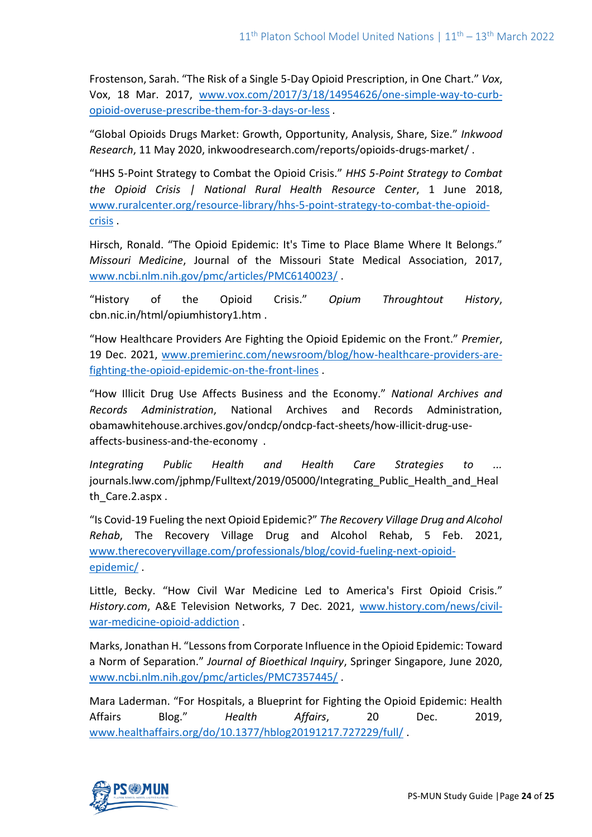Frostenson, Sarah. "The Risk of a Single 5-Day Opioid Prescription, in One Chart." *Vox*, Vox, 18 Mar. 2017, [www.vox.com/2017/3/18/14954626/one-simple-way-to-curb](http://www.vox.com/2017/3/18/14954626/one-simple-way-to-curb-opioid-overuse-prescribe-them-for-3-days-or-less)[opioid-overuse-prescribe-them-for-3-days-or-less](http://www.vox.com/2017/3/18/14954626/one-simple-way-to-curb-opioid-overuse-prescribe-them-for-3-days-or-less) .

"Global Opioids Drugs Market: Growth, Opportunity, Analysis, Share, Size." *Inkwood Research*, 11 May 2020, inkwoodresearch.com/reports/opioids-drugs-market/ .

"HHS 5-Point Strategy to Combat the Opioid Crisis." *HHS 5-Point Strategy to Combat the Opioid Crisis | National Rural Health Resource Center*, 1 June 2018, [www.ruralcenter.org/resource-library/hhs-5-point-strategy-to-combat-the-opioid](http://www.ruralcenter.org/resource-library/hhs-5-point-strategy-to-combat-the-opioid-crisis)[crisis](http://www.ruralcenter.org/resource-library/hhs-5-point-strategy-to-combat-the-opioid-crisis) .

Hirsch, Ronald. "The Opioid Epidemic: It's Time to Place Blame Where It Belongs." *Missouri Medicine*, Journal of the Missouri State Medical Association, 2017, [www.ncbi.nlm.nih.gov/pmc/articles/PMC6140023/](http://www.ncbi.nlm.nih.gov/pmc/articles/PMC6140023/) .

"History of the Opioid Crisis." *Opium Throughtout History*, cbn.nic.in/html/opiumhistory1.htm .

"How Healthcare Providers Are Fighting the Opioid Epidemic on the Front." *Premier*, 19 Dec. 2021, [www.premierinc.com/newsroom/blog/how-healthcare-providers-are](http://www.premierinc.com/newsroom/blog/how-healthcare-providers-are-fighting-the-opioid-epidemic-on-the-front-lines)[fighting-the-opioid-epidemic-on-the-front-lines](http://www.premierinc.com/newsroom/blog/how-healthcare-providers-are-fighting-the-opioid-epidemic-on-the-front-lines) .

"How Illicit Drug Use Affects Business and the Economy." *National Archives and Records Administration*, National Archives and Records Administration, obamawhitehouse.archives.gov/ondcp/ondcp-fact-sheets/how-illicit-drug-useaffects-business-and-the-economy .

*Integrating Public Health and Health Care Strategies to ...* journals.lww.com/jphmp/Fulltext/2019/05000/Integrating\_Public\_Health\_and\_Heal th Care.2.aspx.

"Is Covid-19 Fueling the next Opioid Epidemic?" *The Recovery Village Drug and Alcohol Rehab*, The Recovery Village Drug and Alcohol Rehab, 5 Feb. 2021, [www.therecoveryvillage.com/professionals/blog/covid-fueling-next-opioid](http://www.therecoveryvillage.com/professionals/blog/covid-fueling-next-opioid-epidemic/)[epidemic/](http://www.therecoveryvillage.com/professionals/blog/covid-fueling-next-opioid-epidemic/) .

Little, Becky. "How Civil War Medicine Led to America's First Opioid Crisis." *History.com*, A&E Television Networks, 7 Dec. 2021, [www.history.com/news/civil](http://www.history.com/news/civil-war-medicine-opioid-addiction)[war-medicine-opioid-addiction](http://www.history.com/news/civil-war-medicine-opioid-addiction) .

Marks, Jonathan H. "Lessons from Corporate Influence in the Opioid Epidemic: Toward a Norm of Separation." *Journal of Bioethical Inquiry*, Springer Singapore, June 2020, [www.ncbi.nlm.nih.gov/pmc/articles/PMC7357445/](http://www.ncbi.nlm.nih.gov/pmc/articles/PMC7357445/) .

Mara Laderman. "For Hospitals, a Blueprint for Fighting the Opioid Epidemic: Health Affairs Blog." *Health Affairs*, 20 Dec. 2019, [www.healthaffairs.org/do/10.1377/hblog20191217.727229/full/](http://www.healthaffairs.org/do/10.1377/hblog20191217.727229/full/) .